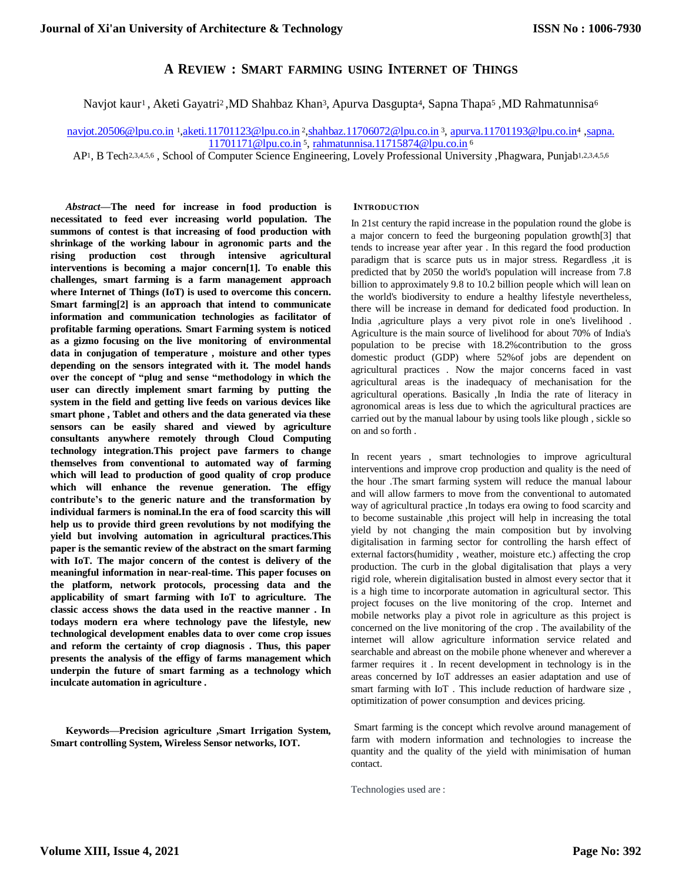## **A REVIEW : SMART FARMING USING INTERNET OF THINGS**

Navjot kaur<sup>1</sup>, Aketi Gayatri<sup>2</sup>, MD Shahbaz Khan<sup>3</sup>, Apurva Dasgupta<sup>4</sup>, Sapna Thapa<sup>5</sup>, MD Rahmatunnisa<sup>6</sup>

[navjot.20506@lpu.co.in](mailto:navjot.20506@lpu.co.in) <sup>1</sup>[,aketi.11701123@lpu.co.in](mailto:navjot.20506@lpu.co.in) <sup>2</sup>[,shahbaz.11706072@lpu.co.in](mailto:2%2Cshahbaz.11706072@lpu.co.in) <sup>3</sup>, [apurva.11701193@lpu.co.in](mailto:apurva.11701193@lpu.co.in4)<sup>4</sup> ,sapna. [11701171@lpu.co.in](mailto:11701171@lpu.co.in) <sup>5</sup>, [rahmatunnisa.11715874@lpu.co.in](mailto:rahmatunnisa.11715874@lpu.co.in) <sup>6</sup>

AP<sup>1</sup>, B Tech<sup>2,3,4,5,6</sup>, School of Computer Science Engineering, Lovely Professional University ,Phagwara, Punjab<sup>1,2,3,4,5,6</sup>

*Abstract***—The need for increase in food production is necessitated to feed ever increasing world population. The summons of contest is that increasing of food production with shrinkage of the working labour in agronomic parts and the rising production cost through intensive agricultural interventions is becoming a major concern[1]. To enable this challenges, smart farming is a farm management approach where Internet of Things (IoT) is used to overcome this concern. Smart farming[2] is an approach that intend to communicate information and communication technologies as facilitator of profitable farming operations. Smart Farming system is noticed as a gizmo focusing on the live monitoring of environmental data in conjugation of temperature , moisture and other types depending on the sensors integrated with it. The model hands over the concept of "plug and sense "methodology in which the user can directly implement smart farming by putting the system in the field and getting live feeds on various devices like smart phone , Tablet and others and the data generated via these sensors can be easily shared and viewed by agriculture consultants anywhere remotely through Cloud Computing technology integration.This project pave farmers to change themselves from conventional to automated way of farming which will lead to production of good quality of crop produce which will enhance the revenue generation. The effigy contribute's to the generic nature and the transformation by individual farmers is nominal.In the era of food scarcity this will help us to provide third green revolutions by not modifying the yield but involving automation in agricultural practices.This paper is the semantic review of the abstract on the smart farming with IoT. The major concern of the contest is delivery of the meaningful information in near-real-time. This paper focuses on the platform, network protocols, processing data and the applicability of smart farming with IoT to agriculture. The classic access shows the data used in the reactive manner . In todays modern era where technology pave the lifestyle, new technological development enables data to over come crop issues and reform the certainty of crop diagnosis . Thus, this paper presents the analysis of the effigy of farms management which underpin the future of smart farming as a technology which inculcate automation in agriculture .**

**Keywords—Precision agriculture ,Smart Irrigation System, Smart controlling System, Wireless Sensor networks, IOT.**

#### **INTRODUCTION**

In 21st century the rapid increase in the population round the globe is a major concern to feed the burgeoning population growth[3] that tends to increase year after year . In this regard the food production paradigm that is scarce puts us in major stress. Regardless ,it is predicted that by 2050 the world's population will increase from 7.8 billion to approximately 9.8 to 10.2 billion people which will lean on the world's biodiversity to endure a healthy lifestyle nevertheless, there will be increase in demand for dedicated food production. In India ,agriculture plays a very pivot role in one's livelihood . Agriculture is the main source of livelihood for about 70% of India's population to be precise with 18.2%contribution to the gross domestic product (GDP) where 52%of jobs are dependent on agricultural practices . Now the major concerns faced in vast agricultural areas is the inadequacy of mechanisation for the agricultural operations. Basically ,In India the rate of literacy in agronomical areas is less due to which the agricultural practices are carried out by the manual labour by using tools like plough , sickle so on and so forth .

In recent years , smart technologies to improve agricultural interventions and improve crop production and quality is the need of the hour .The smart farming system will reduce the manual labour and will allow farmers to move from the conventional to automated way of agricultural practice ,In todays era owing to food scarcity and to become sustainable ,this project will help in increasing the total yield by not changing the main composition but by involving digitalisation in farming sector for controlling the harsh effect of external factors(humidity , weather, moisture etc.) affecting the crop production. The curb in the global digitalisation that plays a very rigid role, wherein digitalisation busted in almost every sector that it is a high time to incorporate automation in agricultural sector. This project focuses on the live monitoring of the crop. Internet and mobile networks play a pivot role in agriculture as this project is concerned on the live monitoring of the crop . The availability of the internet will allow agriculture information service related and searchable and abreast on the mobile phone whenever and wherever a farmer requires it . In recent development in technology is in the areas concerned by IoT addresses an easier adaptation and use of smart farming with IoT . This include reduction of hardware size , optimitization of power consumption and devices pricing.

Smart farming is the concept which revolve around management of farm with modern information and technologies to increase the quantity and the quality of the yield with minimisation of human contact.

Technologies used are :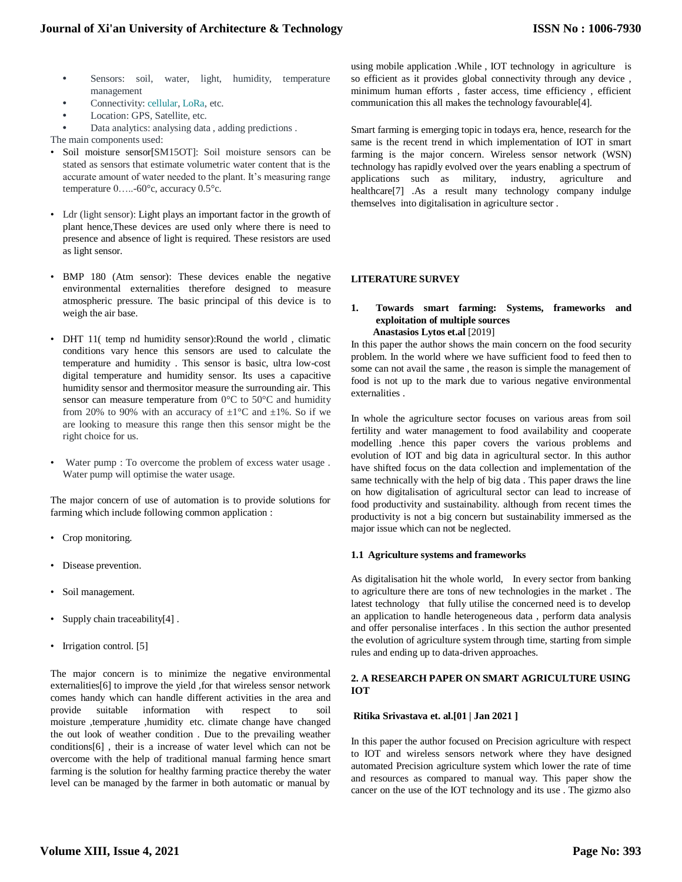- **•** Sensors: soil, water, light, humidity, temperature management
- **•** Connectivity: cellular, LoRa, etc.
- **•** Location: GPS, Satellite, etc.
- **•** Data analytics: analysing data , adding predictions .

The main components used:

- Soil moisture sensor[SM15OT]: Soil moisture sensors can be stated as sensors that estimate volumetric water content that is the accurate amount of water needed to the plant. It's measuring range temperature 0…..-60°c, accuracy 0.5°c.
- Ldr (light sensor): Light plays an important factor in the growth of plant hence,These devices are used only where there is need to presence and absence of light is required. These resistors are used as light sensor.
- BMP 180 (Atm sensor): These devices enable the negative environmental externalities therefore designed to measure atmospheric pressure. The basic principal of this device is to weigh the air base.
- DHT 11( temp nd humidity sensor):Round the world , climatic conditions vary hence this sensors are used to calculate the temperature and humidity . This sensor is basic, ultra low-cost digital temperature and humidity sensor. Its uses a capacitive humidity sensor and thermositor measure the surrounding air. This sensor can measure temperature from 0°C to 50°C and humidity from 20% to 90% with an accuracy of  $\pm 1^{\circ}$ C and  $\pm 1$ %. So if we are looking to measure this range then this sensor might be the right choice for us.
- Water pump : To overcome the problem of excess water usage . Water pump will optimise the water usage.

The major concern of use of automation is to provide solutions for farming which include following common application :

- Crop monitoring.
- Disease prevention.
- Soil management.
- Supply chain traceability[4] .
- Irrigation control. [5]

The major concern is to minimize the negative environmental externalities[6] to improve the yield ,for that wireless sensor network comes handy which can handle different activities in the area and provide suitable information with respect to soil moisture ,temperature ,humidity etc. climate change have changed the out look of weather condition . Due to the prevailing weather conditions[6] , their is a increase of water level which can not be overcome with the help of traditional manual farming hence smart farming is the solution for healthy farming practice thereby the water level can be managed by the farmer in both automatic or manual by

using mobile application .While , IOT technology in agriculture is so efficient as it provides global connectivity through any device , minimum human efforts , faster access, time efficiency , efficient communication this all makes the technology favourable[4].

Smart farming is emerging topic in todays era, hence, research for the same is the recent trend in which implementation of IOT in smart farming is the major concern. Wireless sensor network (WSN) technology has rapidly evolved over the years enabling a spectrum of applications such as military, industry, agriculture and healthcare[7] .As a result many technology company indulge themselves into digitalisation in agriculture sector .

## **LITERATURE SURVEY**

#### **1. Towards smart farming: Systems, frameworks and exploitation of multiple sources Anastasios Lytos et.al** [2019]

In this paper the author shows the main concern on the food security problem. In the world where we have sufficient food to feed then to some can not avail the same , the reason is simple the management of food is not up to the mark due to various negative environmental externalities .

In whole the agriculture sector focuses on various areas from soil fertility and water management to food availability and cooperate modelling .hence this paper covers the various problems and evolution of IOT and big data in agricultural sector. In this author have shifted focus on the data collection and implementation of the same technically with the help of big data . This paper draws the line on how digitalisation of agricultural sector can lead to increase of food productivity and sustainability. although from recent times the productivity is not a big concern but sustainability immersed as the major issue which can not be neglected.

#### **1.1 Agriculture systems and frameworks**

As digitalisation hit the whole world, In every sector from banking to agriculture there are tons of new technologies in the market . The latest technology that fully utilise the concerned need is to develop an application to handle heterogeneous data , perform data analysis and offer personalise interfaces . In this section the author presented the evolution of agriculture system through time, starting from simple rules and ending up to data-driven approaches.

## **2. A RESEARCH PAPER ON SMART AGRICULTURE USING IOT**

#### **Ritika Srivastava et. al.[01 | Jan 2021 ]**

In this paper the author focused on Precision agriculture with respect to IOT and wireless sensors network where they have designed automated Precision agriculture system which lower the rate of time and resources as compared to manual way. This paper show the cancer on the use of the IOT technology and its use . The gizmo also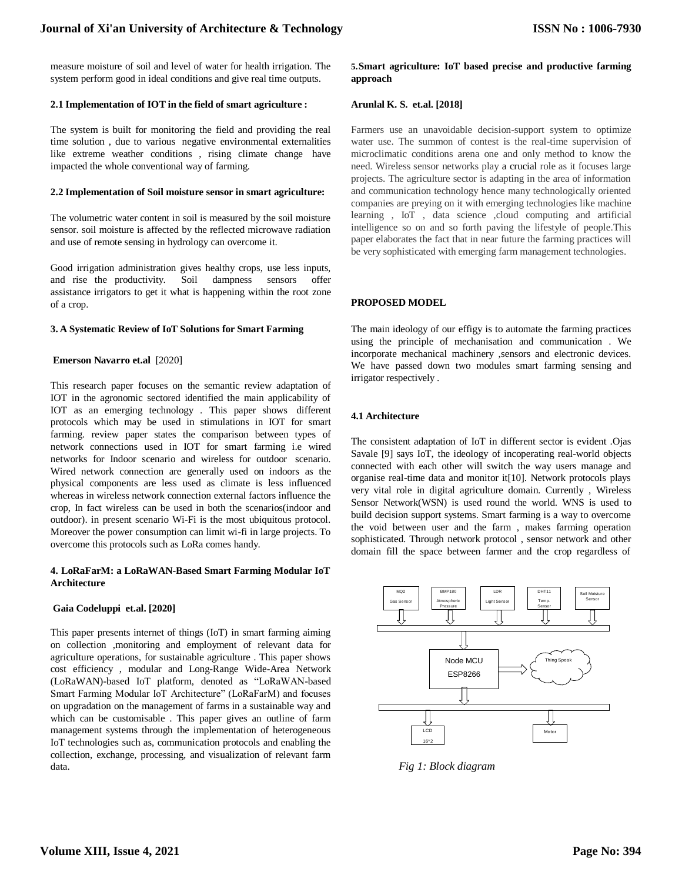measure moisture of soil and level of water for health irrigation. The system perform good in ideal conditions and give real time outputs.

## **2.1 Implementation of IOT in the field of smart agriculture :**

The system is built for monitoring the field and providing the real time solution , due to various negative environmental externalities like extreme weather conditions , rising climate change have impacted the whole conventional way of farming.

#### **2.2 Implementation of Soil moisture sensor in smart agriculture:**

The volumetric water content in soil is measured by the soil moisture sensor. soil moisture is affected by the reflected microwave radiation and use of remote sensing in hydrology can overcome it.

Good irrigation administration gives healthy crops, use less inputs, and rise the productivity. Soil dampness sensors offer assistance irrigators to get it what is happening within the root zone of a crop.

## **3. A Systematic Review of IoT Solutions for Smart Farming**

## **Emerson Navarro et.al** [2020]

This research paper focuses on the semantic review adaptation of IOT in the agronomic sectored identified the main applicability of IOT as an emerging technology . This paper shows different protocols which may be used in stimulations in IOT for smart farming. review paper states the comparison between types of network connections used in IOT for smart farming i.e wired networks for Indoor scenario and wireless for outdoor scenario. Wired network connection are generally used on indoors as the physical components are less used as climate is less influenced whereas in wireless network connection external factors influence the crop, In fact wireless can be used in both the scenarios(indoor and outdoor). in present scenario Wi-Fi is the most ubiquitous protocol. Moreover the power consumption can limit wi-fi in large projects. To overcome this protocols such as LoRa comes handy.

## **4. LoRaFarM: a LoRaWAN-Based Smart Farming Modular IoT Architecture**

## **Gaia Codeluppi et.al. [2020]**

This paper presents internet of things (IoT) in smart farming aiming on collection ,monitoring and employment of relevant data for agriculture operations, for sustainable agriculture . This paper shows cost efficiency , modular and Long-Range Wide-Area Network (LoRaWAN)-based IoT platform, denoted as "LoRaWAN-based Smart Farming Modular IoT Architecture" (LoRaFarM) and focuses on upgradation on the management of farms in a sustainable way and which can be customisable . This paper gives an outline of farm management systems through the implementation of heterogeneous IoT technologies such as, communication protocols and enabling the collection, exchange, processing, and visualization of relevant farm data.

## **5.Smart agriculture: IoT based precise and productive farming approach**

## **Arunlal K. S. et.al. [2018]**

Farmers use an unavoidable decision-support system to optimize water use. The summon of contest is the real-time supervision of microclimatic conditions arena one and only method to know the need. Wireless sensor networks play a crucial role as it focuses large projects. The agriculture sector is adapting in the area of information and communication technology hence many technologically oriented companies are preying on it with emerging technologies like machine learning , IoT , data science ,cloud computing and artificial intelligence so on and so forth paving the lifestyle of people.This paper elaborates the fact that in near future the farming practices will be very sophisticated with emerging farm management technologies.

#### **PROPOSED MODEL**

The main ideology of our effigy is to automate the farming practices using the principle of mechanisation and communication . We incorporate mechanical machinery ,sensors and electronic devices. We have passed down two modules smart farming sensing and irrigator respectively .

## **4.1 Architecture**

The consistent adaptation of IoT in different sector is evident .Ojas Savale [9] says IoT, the ideology of incoperating real-world objects connected with each other will switch the way users manage and organise real-time data and monitor it[10]. Network protocols plays very vital role in digital agriculture domain. Currently , Wireless Sensor Network(WSN) is used round the world. WNS is used to build decision support systems. Smart farming is a way to overcome the void between user and the farm , makes farming operation sophisticated. Through network protocol , sensor network and other domain fill the space between farmer and the crop regardless of



*Fig 1: Block diagram*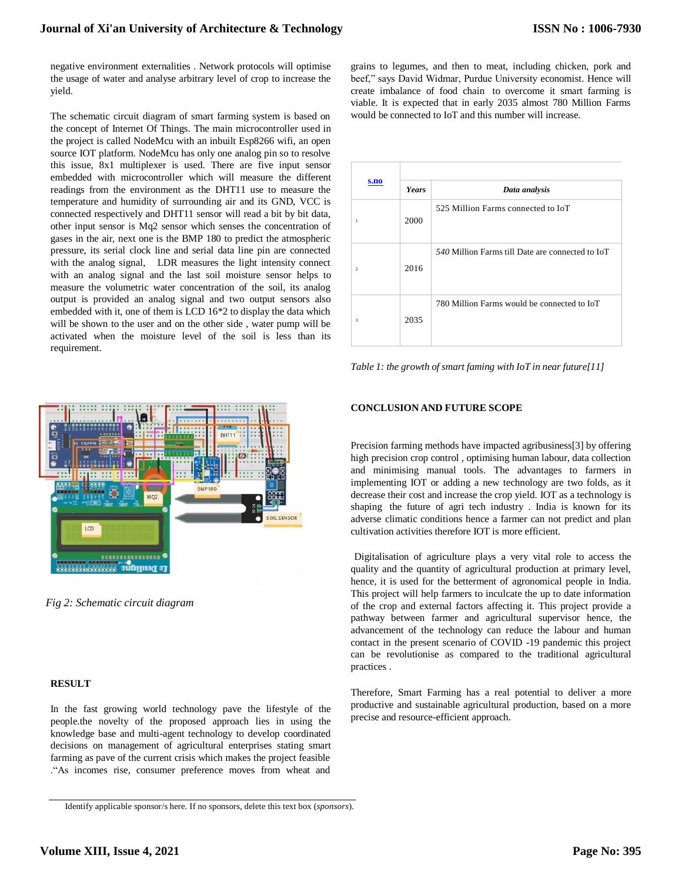negative environment externalities . Network protocols will optimise the usage of water and analyse arbitrary level of crop to increase the yield.

The schematic circuit diagram of smart farming system is based on the concept of Internet Of Things. The main microcontroller used in the project is called NodeMcu with an inbuilt Esp8266 wifi, an open source IOT platform. NodeMcu has only one analog pin so to resolve this issue, 8x1 multiplexer is used. There are five input sensor embedded with microcontroller which will measure the different readings from the environment as the DHT11 use to measure the temperature and humidity of surrounding air and its GND, VCC is connected respectively and DHT11 sensor will read a bit by bit data, other input sensor is Mq2 sensor which senses the concentration of gases in the air, next one is the BMP 180 to predict the atmospheric pressure, its serial clock line and serial data line pin are connected with the analog signal, LDR measures the light intensity connect with an analog signal and the last soil moisture sensor helps to measure the volumetric water concentration of the soil, its analog output is provided an analog signal and two output sensors also embedded with it, one of them is LCD 16\*2 to display the data which will be shown to the user and on the other side , water pump will be activated when the moisture level of the soil is less than its requirement.



*Fig 2: Schematic circuit diagram*

#### **RESULT**

In the fast growing world technology pave the lifestyle of the people.the novelty of the proposed approach lies in using the knowledge base and multi-agent technology to develop coordinated decisions on management of agricultural enterprises stating smart farming as pave of the current crisis which makes the project feasible ."As incomes rise, consumer preference moves from wheat and

grains to legumes, and then to meat, including chicken, pork and beef," says David Widmar, Purdue University economist. Hence will create imbalance of food chain to overcome it smart farming is viable. It is expected that in early 2035 almost 780 Million Farms would be connected to IoT and this number will increase.

| s.no           |              |                                                  |
|----------------|--------------|--------------------------------------------------|
|                | <b>Years</b> | Data analysis                                    |
| 1              | 2000         | 525 Million Farms connected to IoT               |
| $\mathfrak{D}$ | 2016         | 540 Million Farms till Date are connected to IoT |
| 3              | 2035         | 780 Million Farms would be connected to IoT      |

*Table 1: the growth of smart faming with IoT in near future[11]*

#### **CONCLUSION AND FUTURE SCOPE**

Precision farming methods have impacted agribusiness[3] by offering high precision crop control , optimising human labour, data collection and minimising manual tools. The advantages to farmers in implementing IOT or adding a new technology are two folds, as it decrease their cost and increase the crop yield. IOT as a technology is shaping the future of agri tech industry . India is known for its adverse climatic conditions hence a farmer can not predict and plan cultivation activities therefore IOT is more efficient.

Digitalisation of agriculture plays a very vital role to access the quality and the quantity of agricultural production at primary level, hence, it is used for the betterment of agronomical people in India. This project will help farmers to inculcate the up to date information of the crop and external factors affecting it. This project provide a pathway between farmer and agricultural supervisor hence, the advancement of the technology can reduce the labour and human contact in the present scenario of COVID -19 pandemic this project can be revolutionise as compared to the traditional agricultural practices .

Therefore, Smart Farming has a real potential to deliver a more productive and sustainable agricultural production, based on a more precise and resource-efficient approach.

Identify applicable sponsor/s here. If no sponsors, delete this text box (*sponsors*).